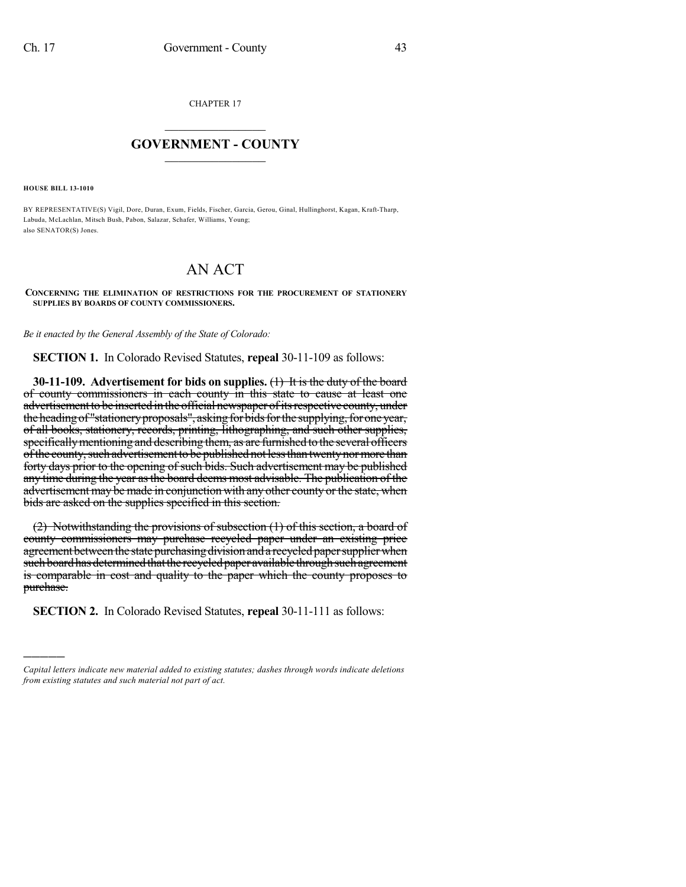CHAPTER 17

## $\mathcal{L}_\text{max}$  . The set of the set of the set of the set of the set of the set of the set of the set of the set of the set of the set of the set of the set of the set of the set of the set of the set of the set of the set **GOVERNMENT - COUNTY**  $\_$

**HOUSE BILL 13-1010**

)))))

BY REPRESENTATIVE(S) Vigil, Dore, Duran, Exum, Fields, Fischer, Garcia, Gerou, Ginal, Hullinghorst, Kagan, Kraft-Tharp, Labuda, McLachlan, Mitsch Bush, Pabon, Salazar, Schafer, Williams, Young; also SENATOR(S) Jones.

## AN ACT

**CONCERNING THE ELIMINATION OF RESTRICTIONS FOR THE PROCUREMENT OF STATIONERY SUPPLIES BY BOARDS OF COUNTY COMMISSIONERS.**

*Be it enacted by the General Assembly of the State of Colorado:*

**SECTION 1.** In Colorado Revised Statutes, **repeal** 30-11-109 as follows:

**30-11-109. Advertisement for bids on supplies.** (1) It is the duty of the board of county commissioners in each county in this state to cause at least one advertisement to be inserted in the official newspaper of its respective county, under the heading of "stationery proposals", asking for bids for the supplying, for one year, of all books, stationery, records, printing, lithographing, and such other supplies, specificallymentioning and describing them, as are furnished to the several officers of the county, such advertisement to be published not less than twenty nor more than forty days prior to the opening of such bids. Such advertisement may be published any time during the year as the board deems most advisable. The publication of the advertisement may be made in conjunction with any other county or the state, when bids are asked on the supplies specified in this section.

(2) Notwithstanding the provisions of subsection (1) of this section, a board of county commissioners may purchase recycled paper under an existing price agreement between the state purchasing division and a recycled paper supplier when such board has determined that the recycled paper available through such agreement is comparable in cost and quality to the paper which the county proposes to purchase.

**SECTION 2.** In Colorado Revised Statutes, **repeal** 30-11-111 as follows:

*Capital letters indicate new material added to existing statutes; dashes through words indicate deletions from existing statutes and such material not part of act.*